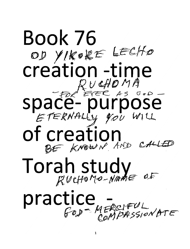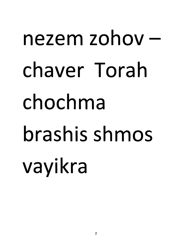## *nezem zohov chaver Torah chochma brashis shmos vayikra*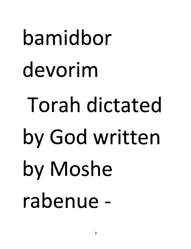# *bamidbor devorim Torah dictated by God written by Moshe rabenue -*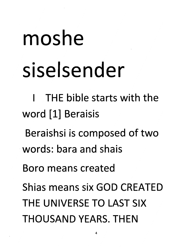## *moshe siselsender*

*I THE bible starts with the word [1] Beraisis*

*Beraishsi is composed of two words: bara and shais*

*Boro means created*

*Shias means six GOD CREATED THE UNIVERSE TO LAST SIX THOUSAND YEARS. THEN*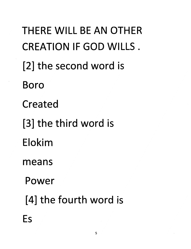*THERE WILL BE AN OTHER CREATION IF GOD WILLS. [2] the second word is Boro Created [3] the third word is Elokim means Power [4] the fourth word is Es*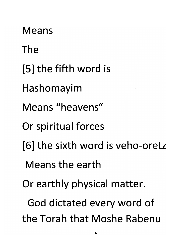*Means The [5] the fifth word is Hashomayim Means "heavens" Or spiritual forces [6] the sixth word is veho-oretz Means the earth Or earthly physical matter. God dictated every word of the Torah that Moshe Rabenu*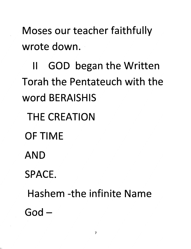*Moses our teacher faithfully wrote down.*

*II GOD began the Written Torah the Pentateuch with the word BERAISHIS*

*THE CREATION*

*OF TIME*

*AND*

*SPACE.*

*Hashem -the infinite Name God-*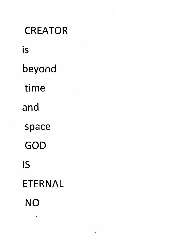*CREATOR is beyond time and space GOD IS ETERNAL NO*

 $\lambda$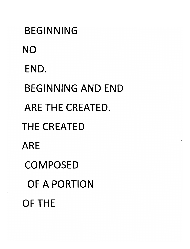*BEGINNING NO END. BEGINNING AND END ARE THE CREATED. THE CREATED ARE COMPOSED OF A PORTION OF THE*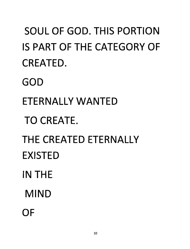*SOUL OF GOD. THIS PORTION IS PART OF THE CATEGORY OF CREATED. GOD ETERNALLY WANTED TO CREATE. THE CREATED ETERNALLY EXISTED IN THE MIND OF*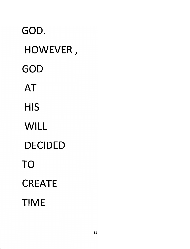*GOD. HOWEVER, GOD AT HIS WILL DECIDED TO CREATE TIME*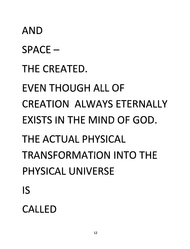## *AND SPACE - THE CREATED. EVEN THOUGH ALL OF CREATION ALWAYS ETERNALLY EXISTS IN THE MIND OF GOD. THE ACTUAL PHYSICAL TRANSFORMATION INTO THE PHYSICAL UNIVERSE IS*

#### *CALLED*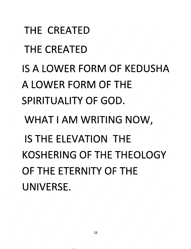*THE CREATED THE CREATED IS A LOWER FORM OF KEDUSHA A LOWER FORM OF THE SPIRITUALITY OF GOD. WHAT I AM WRITING NOW, IS THE ELEVATION THE KOSHERING OF THE THEOLOGY OF THE ETERNITY OF THE UNIVERSE.*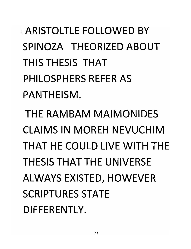*ARISTOLTLE FOLLOWED BY SPINOZA THEORIZED ABOUT THIS THESIS THAT PHILOSPHERS REFER AS PANTHEISM.*

*THE RAMBAM MAIMONIDES CLAIMS IN MOREH NEVUCHIM THAT HE COULD LIVE WITH THE THESIS THAT THE UNIVERSE ALWAYS EXISTED, HOWEVER SCRIPTURES STATE DIFFERENTLY.*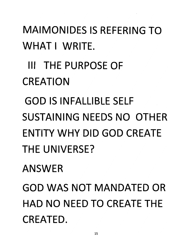*MAIMONIDES IS REFERING TO WHAT I WRITE.*

*Ill THE PURPOSE OF*

*CREATION*

*GOD IS INFALLIBLE SELF*

*SUSTAINING NEEDS NO OTHER ENTITY WHY DID GOD CREATE THE UNIVERSE?*

*ANSWER*

*GOD WAS NOT MANDATED OR HAD NO NEED TO CREATE THE CREATED.*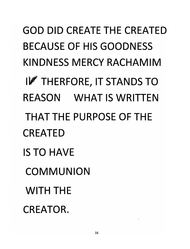*GOD DID CREATE THE CREATED BECAUSE OF HIS GOODNESS KINDNESS MERCY RACHAMIM THERFORE, IT STANDS TO REASON WHAT IS WRITTEN THAT THE PURPOSE OF THE CREATED IS TO HAVE COMMUNION WITH THE CREATOR.*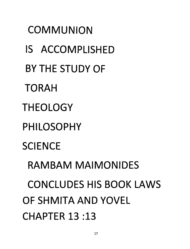*COMMUNION IS ACCOMPLISHED BY THE STUDY OF TORAH THEOLOGY PHILOSOPHY SCIENCE RAMBAM MAIMONIDES CONCLUDES HIS BOOK LAWS OF SHMITA AND YOVEL CHAPTER 13 :13*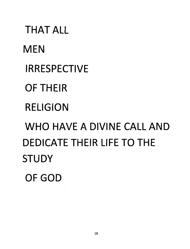*THAT ALL MEN IRRESPECTIVE OF THEIR RELIGION WHO HAVE A DIVINE CALL AND DEDICATE THEIR LIFE TO THE STUDY OF GOD*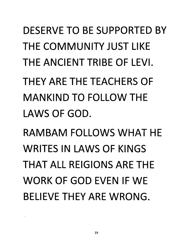*DESERVE TO BE SUPPORTED BY THE COMMUNITY JUST LIKE THE ANCIENT TRIBE OF LEVI. THEY ARE THE TEACHERS OF MANKIND TO FOLLOW THE*

*LAWS OF GOD.*

*RAMBAM FOLLOWS WHAT HE WRITES IN LAWS OF KINGS THAT ALL REIGIONS ARE THE WORK OF GOD EVEN IF WE BELIEVE THEY ARE WRONG.*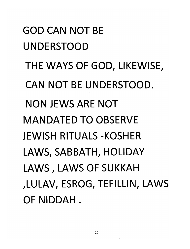*GOD CAN NOT BE UNDERSTOOD THE WAYS OF GOD, LIKEWISE, CAN NOT BE UNDERSTOOD. NON JEWS ARE NOT MANDATED TO OBSERVE JEWISH RITUALS-KOSHER LAWS, SABBATH, HOLIDAY LAWS, LAWS OF SUKKAH ,LULAV, ESROG, TEFILUN, LAWS OF NIDDAH .*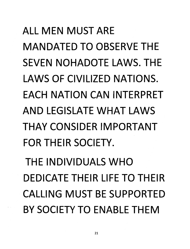## *ALL MEN MUST ARE MANDATED TO OBSERVE THE SEVEN NOHADOTE LAWS. THE LAWS OF CIVILIZED NATIONS. EACH NATION CAN INTERPRET AND LEGISLATE WHAT LAWS THAY CONSIDER IMPORTANT FOR THEIR SOCIETY. THE INDIVIDUALS WHO DEDICATE THEIR LIFE TO THEIR CALLING MUST BE SUPPORTED BY SOCIETY TO ENABLE THEM*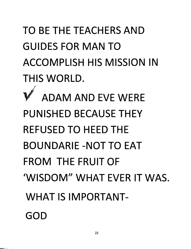### *TO BE THE TEACHERS AND GUIDES FOR MAN TO ACCOMPLISH HIS MISSION IN THIS WORLD.*

*ADAM AND EVE WERE PUNISHED BECAUSE THEY REFUSED TO HEED THE BOUNDARIE-NOTTO EAT FROM THE FRUIT OF 'WISDOM" WHAT EVER IT WAS. WHAT IS IMPORTANT-GOD*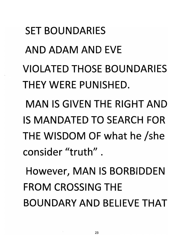*SET BOUNDARIES AND ADAM AND EVE VIOLATED THOSE BOUNDARIES THEY WERE PUNISHED. MAN IS GIVEN THE RIGHT AND IS MANDATED TO SEARCH FOR THE WISDOM OF what he /she consider "truth" .*

*However, MAN IS BORBIDDEN FROM CROSSING THE BOUNDARY AND BELIEVE THAT*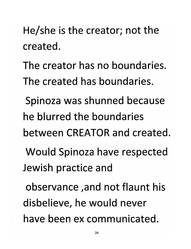*He/she is the creator; not the created.*

*The creator has no boundaries. The created has boundaries.*

*Spinoza was shunned because he blurred the boundaries between CREATOR and created.*

*Would Spinoza have respected Jewish practice and*

*observance ,and not flaunt his disbelieve, he would never have been ex communicated.*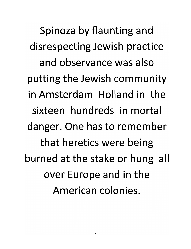*Spinoza by flaunting and disrespecting Jewish practice and observance was also putting the Jewish community in Amsterdam Holland in the sixteen hundreds in mortal danger. One has to remember that heretics were being burned at the stake or hung all over Europe and in the American colonies.*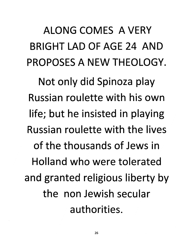### *ALONG COMES AVERY BRIGHT LAD OF AGE 24 AND PROPOSES A NEW THEOLOGY.*

*Not only did Spinoza play Russian roulette with his own life; but he insisted in playing Russian roulette with the lives of the thousands of Jews in Holland who were tolerated and granted religious liberty by the non Jewish secular authorities.*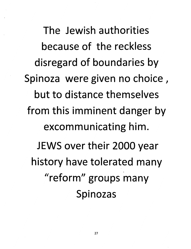*The Jewish authorities because of the reckless disregard of boundaries by Spinoza were given no choice, but to distance themselves from this imminent danger by excommunicating him. JEWS over their 2000 year history have tolerated many "reform" groups many Spinozas*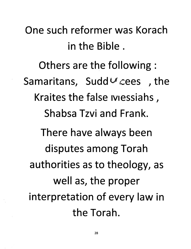*One such reformer was Korach in the Bible.*

*Others are the following : Samaritans, Sudd^cees , the Kraites the false iviessiahs, Shabsa Tzvi and Frank. There have always been disputes among Torah authorities as to theology, as well as, the proper interpretation of every law in the Torah.*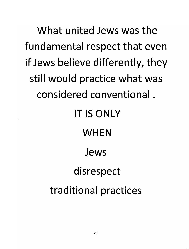*What united Jews was the fundamental respect that even if Jews believe differently, they still would practice what was considered conventional. IT IS ONLY WHEN Jews disrespect traditional practices*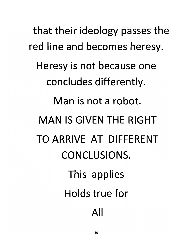*that their ideology passes the red line and becomes heresy. Heresy is not because one concludes differently. Man is not a robot. MAN IS GIVEN THE RIGHT TO ARRIVE AT DIFFERENT CONCLUSIONS. This applies Holds true for All*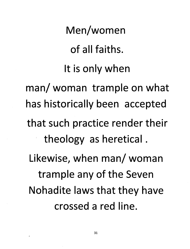*Men/women of all faiths. It is only when man/woman trample on what has historically been accepted that such practice render their theology as heretical. Likewise, when man/ woman trample any of the Seven Nohadite laws that they have crossed a red line.*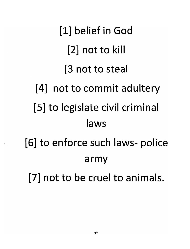*[1] belief in God [2] not to kill [3 not to steal [4] not to commit adultery [5] to legislate civil crimina laws [6] to enforce such laws- police army [7] not to be cruel to animals.*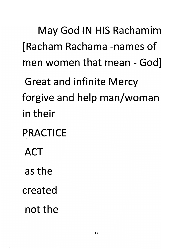*May God IN HIS Rachamim [Racham Rachama -names of men women that mean - God]*

*Great and infinite Mercy forgive and help man/woman in their*

- *PRACTICE*
	- *ACT*
	- *as the*
- *created*
	- *not the*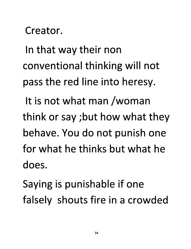*Creator.*

*In that way their non conventional thinking will not pass the red line into heresy.*

*It is not what man /woman think or say ;but how what they behave. You do not punish one for what he thinks but what he does.*

*Saying is punishable if one falsely shouts fire in a crowded*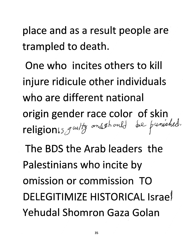*place and as a result people are trampled to death.*

*One who incites others to kill injure ridicule other individuals who are different national origin gender race color of skin* religionis, y witty anschould be punished.

*The BDS the Arab leaders the Palestinians who incite by omission or commission TO DELEGITIMIZE HISTORICAL Israel Yehudal Shomron Gaza Golan*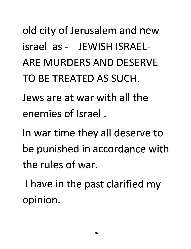*old city of Jerusalem and new israel as- JEWISH ISRAEL-ARE MURDERS AND DESERVE TO BE TREATED AS SUCH.*

*Jews are at war with all the enemies of Israel.*

*In war time they all deserve to be punished in accordance with the rules of war.*

*I have in the past clarified my opinion.*